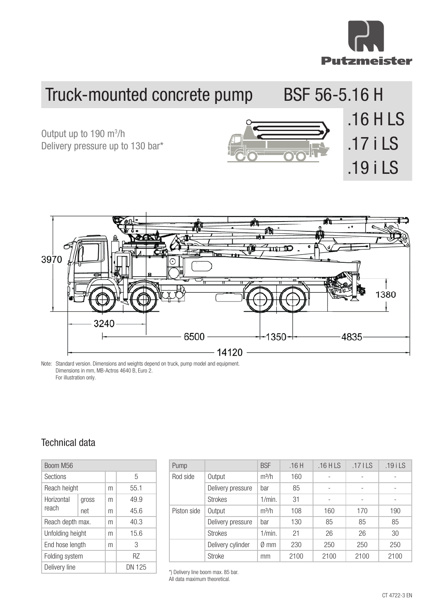

## Truck-mounted Botton pand<sub>p</sub> 56-5.16 H **16 H 16 H Truck-mounted Concrete Band 56-5.16 H** Truck-mounted concrete pump BSF 56-5.16 H

Output up to 190 m<sup>3</sup>/h<br>Delivery pressure up to 130 bar\* Output up to 190 m<sup>3</sup>/h **Output up to 160 mai** Delivery pressure up to 130 bar\*







Dimensions in mm, MB-Actros 4640 B, Euro 2. **Dimensions and equipment.** Dimensions in mm, MB-Actros 4640 B, Euro 2. For illustration only. Note: Standard version. Dimensions and weights depend on truck, pump model and equipment.

## Technical data Technical data

| Boom M56         |       |   |        |         |  |
|------------------|-------|---|--------|---------|--|
| <b>Sections</b>  |       |   | 5      |         |  |
| Reach height     |       | m | 55.1   |         |  |
| Horizontal       | gross | m | 49.9   |         |  |
| reach            | net   | m | 45.6   |         |  |
| Reach depth max. |       | m | 40.3   |         |  |
| Unfolding height |       | m | 15.6   |         |  |
| End hose length  |       | m | 3      |         |  |
| Folding system   |       |   | R7     |         |  |
| Delivery line    |       |   | DN 125 | $\star$ |  |

| Pump        |                   | <b>BSF</b>        | .16H | $.16$ HLS                | $.17$ I LS               | $.19$ i LS |
|-------------|-------------------|-------------------|------|--------------------------|--------------------------|------------|
| Rod side    | Output            | $m^3/h$           | 160  |                          |                          |            |
|             | Delivery pressure | bar               | 85   | $\overline{\phantom{a}}$ | $\overline{\phantom{a}}$ |            |
|             | <b>Strokes</b>    | 1/min.            | 31   |                          |                          |            |
| Piston side | Output            | m <sup>3</sup> /h | 108  | 160                      | 170                      | 190        |
|             | Delivery pressure | bar               | 130  | 85                       | 85                       | 85         |
|             | <b>Strokes</b>    | 1/min.            | 21   | 26                       | 26                       | 30         |
|             | Delivery cylinder | $\emptyset$ mm    | 230  | 250                      | 250                      | 250        |
|             | <b>Stroke</b>     | mm                | 2100 | 2100                     | 2100                     | 2100       |

\*) Delivery line boom max. 85 bar.

All data maximum theoretical.